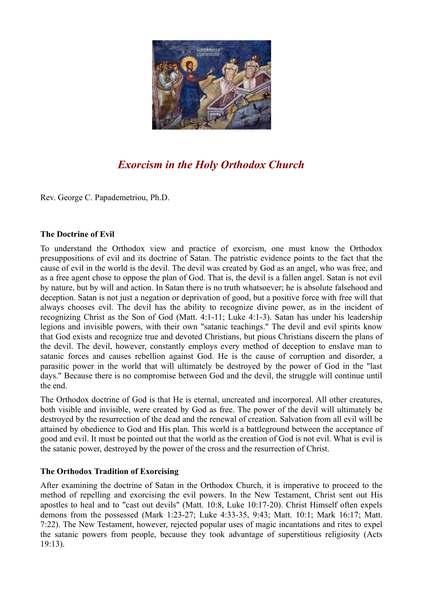

# *Exorcism in the Holy Orthodox Church*

Rev. George C. Papademetriou, Ph.D.

#### **The Doctrine of Evil**

To understand the Orthodox view and practice of exorcism, one must know the Orthodox presuppositions of evil and its doctrine of Satan. The patristic evidence points to the fact that the cause of evil in the world is the devil. The devil was created by God as an angel, who was free, and as a free agent chose to oppose the plan of God. That is, the devil is a fallen angel. Satan is not evil by nature, but by will and action. In Satan there is no truth whatsoever; he is absolute falsehood and deception. Satan is not just a negation or deprivation of good, but a positive force with free will that always chooses evil. The devil has the ability to recognize divine power, as in the incident of recognizing Christ as the Son of God (Matt. 4:1-11; Luke 4:1-3). Satan has under his leadership legions and invisible powers, with their own "satanic teachings." The devil and evil spirits know that God exists and recognize true and devoted Christians, but pious Christians discern the plans of the devil. The devil, however, constantly employs every method of deception to enslave man to satanic forces and causes rebellion against God. He is the cause of corruption and disorder, a parasitic power in the world that will ultimately be destroyed by the power of God in the "last days." Because there is no compromise between God and the devil, the struggle will continue until the end.

The Orthodox doctrine of God is that He is eternal, uncreated and incorporeal. All other creatures, both visible and invisible, were created by God as free. The power of the devil will ultimately be destroyed by the resurrection of the dead and the renewal of creation. Salvation from all evil will be attained by obedience to God and His plan. This world is a battleground between the acceptance of good and evil. It must be pointed out that the world as the creation of God is not evil. What is evil is the satanic power, destroyed by the power of the cross and the resurrection of Christ.

## **The Orthodox Tradition of Exorcising**

After examining the doctrine of Satan in the Orthodox Church, it is imperative to proceed to the method of repelling and exorcising the evil powers. In the New Testament, Christ sent out His apostles to heal and to "cast out devils" (Matt. 10:8, Luke 10:17-20). Christ Himself often expels demons from the possessed (Mark 1:23-27; Luke 4:33-35, 9:43; Matt. 10:1; Mark 16:17; Matt. 7:22). The New Testament, however, rejected popular uses of magic incantations and rites to expel the satanic powers from people, because they took advantage of superstitious religiosity (Acts 19:13).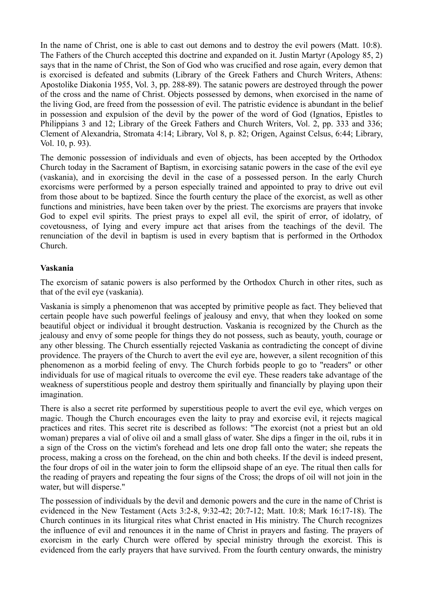In the name of Christ, one is able to cast out demons and to destroy the evil powers (Matt. 10:8). The Fathers of the Church accepted this doctrine and expanded on it. Justin Martyr (Apology 85, 2) says that in the name of Christ, the Son of God who was crucified and rose again, every demon that is exorcised is defeated and submits (Library of the Greek Fathers and Church Writers, Athens: Apostolike Diakonia 1955, Vol. 3, pp. 288-89). The satanic powers are destroyed through the power of the cross and the name of Christ. Objects possessed by demons, when exorcised in the name of the living God, are freed from the possession of evil. The patristic evidence is abundant in the belief in possession and expulsion of the devil by the power of the word of God (Ignatios, Epistles to Philippians 3 and 12; Library of the Greek Fathers and Church Writers, Vol. 2, pp. 333 and 336; Clement of Alexandria, Stromata 4:14; Library, Vol 8, p. 82; Origen, Against Celsus, 6:44; Library, Vol. 10, p. 93).

The demonic possession of individuals and even of objects, has been accepted by the Orthodox Church today in the Sacrament of Baptism, in exorcising satanic powers in the case of the evil eye (vaskania), and in exorcising the devil in the case of a possessed person. In the early Church exorcisms were performed by a person especially trained and appointed to pray to drive out evil from those about to be baptized. Since the fourth century the place of the exorcist, as well as other functions and ministries, have been taken over by the priest. The exorcisms are prayers that invoke God to expel evil spirits. The priest prays to expel all evil, the spirit of error, of idolatry, of covetousness, of Iying and every impure act that arises from the teachings of the devil. The renunciation of the devil in baptism is used in every baptism that is performed in the Orthodox Church.

## **Vaskania**

The exorcism of satanic powers is also performed by the Orthodox Church in other rites, such as that of the evil eye (vaskania).

Vaskania is simply a phenomenon that was accepted by primitive people as fact. They believed that certain people have such powerful feelings of jealousy and envy, that when they looked on some beautiful object or individual it brought destruction. Vaskania is recognized by the Church as the jealousy and envy of some people for things they do not possess, such as beauty, youth, courage or any other blessing. The Church essentially rejected Vaskania as contradicting the concept of divine providence. The prayers of the Church to avert the evil eye are, however, a silent recognition of this phenomenon as a morbid feeling of envy. The Church forbids people to go to "readers" or other individuals for use of magical rituals to overcome the evil eye. These readers take advantage of the weakness of superstitious people and destroy them spiritually and financially by playing upon their imagination.

There is also a secret rite performed by superstitious people to avert the evil eve, which verges on magic. Though the Church encourages even the laity to pray and exorcise evil, it rejects magical practices and rites. This secret rite is described as follows: "The exorcist (not a priest but an old woman) prepares a vial of olive oil and a small glass of water. She dips a finger in the oil, rubs it in a sign of the Cross on the victim's forehead and lets one drop fall onto the water; she repeats the process, making a cross on the forehead, on the chin and both cheeks. If the devil is indeed present, the four drops of oil in the water join to form the ellipsoid shape of an eye. The ritual then calls for the reading of prayers and repeating the four signs of the Cross; the drops of oil will not join in the water, but will disperse."

The possession of individuals by the devil and demonic powers and the cure in the name of Christ is evidenced in the New Testament (Acts 3:2-8, 9:32-42; 20:7-12; Matt. 10:8; Mark 16:17-18). The Church continues in its liturgical rites what Christ enacted in His ministry. The Church recognizes the influence of evil and renounces it in the name of Christ in prayers and fasting. The prayers of exorcism in the early Church were offered by special ministry through the exorcist. This is evidenced from the early prayers that have survived. From the fourth century onwards, the ministry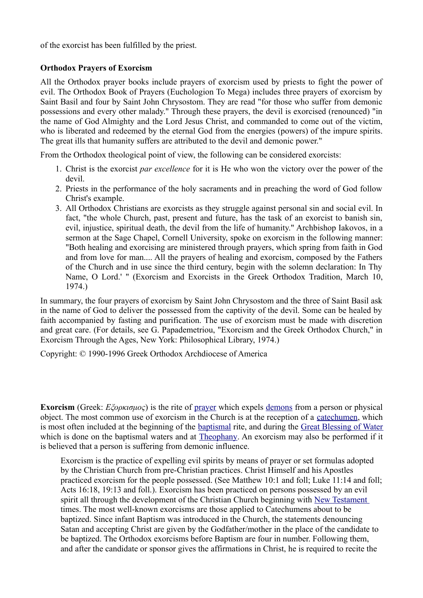of the exorcist has been fulfilled by the priest.

## **Orthodox Prayers of Exorcism**

All the Orthodox prayer books include prayers of exorcism used by priests to fight the power of evil. The Orthodox Book of Prayers (Euchologion To Mega) includes three prayers of exorcism by Saint Basil and four by Saint John Chrysostom. They are read "for those who suffer from demonic possessions and every other malady." Through these prayers, the devil is exorcised (renounced) "in the name of God Almighty and the Lord Jesus Christ, and commanded to come out of the victim, who is liberated and redeemed by the eternal God from the energies (powers) of the impure spirits. The great ills that humanity suffers are attributed to the devil and demonic power."

From the Orthodox theological point of view, the following can be considered exorcists:

- 1. Christ is the exorcist *par excellence* for it is He who won the victory over the power of the devil.
- 2. Priests in the performance of the holy sacraments and in preaching the word of God follow Christ's example.
- 3. All Orthodox Christians are exorcists as they struggle against personal sin and social evil. In fact, "the whole Church, past, present and future, has the task of an exorcist to banish sin, evil, injustice, spiritual death, the devil from the life of humanity." Archbishop Iakovos, in a sermon at the Sage Chapel, Cornell University, spoke on exorcism in the following manner: "Both healing and exorcising are ministered through prayers, which spring from faith in God and from love for man.... All the prayers of healing and exorcism, composed by the Fathers of the Church and in use since the third century, begin with the solemn declaration: In Thy Name, O Lord.' " (Exorcism and Exorcists in the Greek Orthodox Tradition, March 10, 1974.)

In summary, the four prayers of exorcism by Saint John Chrysostom and the three of Saint Basil ask in the name of God to deliver the possessed from the captivity of the devil. Some can be healed by faith accompanied by fasting and purification. The use of exorcism must be made with discretion and great care. (For details, see G. Papademetriou, "Exorcism and the Greek Orthodox Church," in Exorcism Through the Ages, New York: Philosophical Library, 1974.)

Copyright: © 1990-1996 Greek Orthodox Archdiocese of America

**Exorcism** (Greek: *Εξορκισμος*) is the rite of [prayer](http://orthodoxwiki.org/Prayer) which expels [demons](http://orthodoxwiki.org/index.php?title=Demon&action=edit) from a person or physical object. The most common use of exorcism in the Church is at the reception of a [catechumen,](http://orthodoxwiki.org/Catechumen) which is most often included at the beginning of the [baptismal](http://orthodoxwiki.org/Baptism) rite, and during the [Great Blessing of Water](http://orthodoxwiki.org/Great_Blessing_of_Water) which is done on the baptismal waters and at [Theophany.](http://orthodoxwiki.org/Theophany) An exorcism may also be performed if it is believed that a person is suffering from demonic influence.

Exorcism is the practice of expelling evil spirits by means of prayer or set formulas adopted by the Christian Church from pre-Christian practices. Christ Himself and his Apostles practiced exorcism for the people possessed. (See Matthew 10:1 and foll; Luke 11:14 and foll; Acts 16:18, 19:13 and foll.). Exorcism has been practiced on persons possessed by an evil spirit all through the development of the Christian Church beginning with [New Testament](http://orthodoxwiki.org/New_Testament) times. The most well-known exorcisms are those applied to Catechumens about to be baptized. Since infant Baptism was introduced in the Church, the statements denouncing Satan and accepting Christ are given by the Godfather/mother in the place of the candidate to be baptized. The Orthodox exorcisms before Baptism are four in number. Following them, and after the candidate or sponsor gives the affirmations in Christ, he is required to recite the